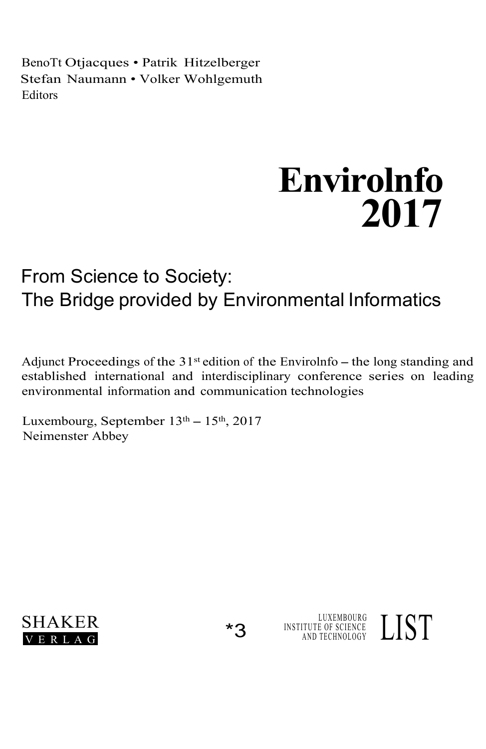BenoTt Otjacques • Patrik Hitzelberger Stefan Naumann • Volker Wohlgemuth Editors

## **Envirolnfo 2017**

LUXEMBOURG INSTITUTE OF SCIENCE  $\rm LISI$ 

## From Science to Society: The Bridge provided by Environmental Informatics

Adjunct Proceedings of the  $31<sup>st</sup>$  edition of the Envirolnfo – the long standing and established international and interdisciplinary conference series on leading environmental information and communication technologies

Luxembourg, September  $13<sup>th</sup> - 15<sup>th</sup>$ , 2017 Neimenster Abbey

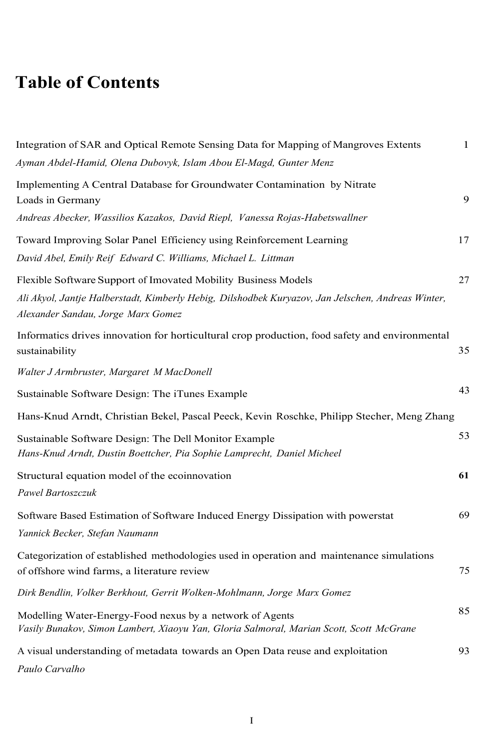## **Table of Contents**

| Integration of SAR and Optical Remote Sensing Data for Mapping of Mangroves Extents<br>Ayman Abdel-Hamid, Olena Dubovyk, Islam Abou El-Magd, Gunter Menz                                                  | $\mathbf{1}$ |
|-----------------------------------------------------------------------------------------------------------------------------------------------------------------------------------------------------------|--------------|
| Implementing A Central Database for Groundwater Contamination by Nitrate<br>Loads in Germany<br>Andreas Abecker, Wassilios Kazakos, David Riepl, Vanessa Rojas-Habetswallner                              | 9            |
| Toward Improving Solar Panel Efficiency using Reinforcement Learning<br>David Abel, Emily Reif Edward C. Williams, Michael L. Littman                                                                     | 17           |
| Flexible Software Support of Imovated Mobility Business Models<br>Ali Akyol, Jantje Halberstadt, Kimberly Hebig, Dilshodbek Kuryazov, Jan Jelschen, Andreas Winter,<br>Alexander Sandau, Jorge Marx Gomez | 27           |
| Informatics drives innovation for horticultural crop production, food safety and environmental<br>sustainability                                                                                          | 35           |
| Walter J Armbruster, Margaret M MacDonell                                                                                                                                                                 |              |
| Sustainable Software Design: The iTunes Example                                                                                                                                                           | 43           |
| Hans-Knud Arndt, Christian Bekel, Pascal Peeck, Kevin Roschke, Philipp Stecher, Meng Zhang                                                                                                                |              |
| Sustainable Software Design: The Dell Monitor Example<br>Hans-Knud Arndt, Dustin Boettcher, Pia Sophie Lamprecht, Daniel Micheel                                                                          | 53           |
| Structural equation model of the ecoinnovation<br>Pawel Bartoszczuk                                                                                                                                       | 61           |
| Software Based Estimation of Software Induced Energy Dissipation with powerstat<br>Yannick Becker, Stefan Naumann                                                                                         | 69           |
| Categorization of established methodologies used in operation and maintenance simulations<br>of offshore wind farms, a literature review                                                                  | 75           |
| Dirk Bendlin, Volker Berkhout, Gerrit Wolken-Mohlmann, Jorge Marx Gomez                                                                                                                                   |              |
| Modelling Water-Energy-Food nexus by a network of Agents<br>Vasily Bunakov, Simon Lambert, Xiaoyu Yan, Gloria Salmoral, Marian Scott, Scott McGrane                                                       | 85           |
| A visual understanding of metadata towards an Open Data reuse and exploitation<br>Paulo Carvalho                                                                                                          | 93           |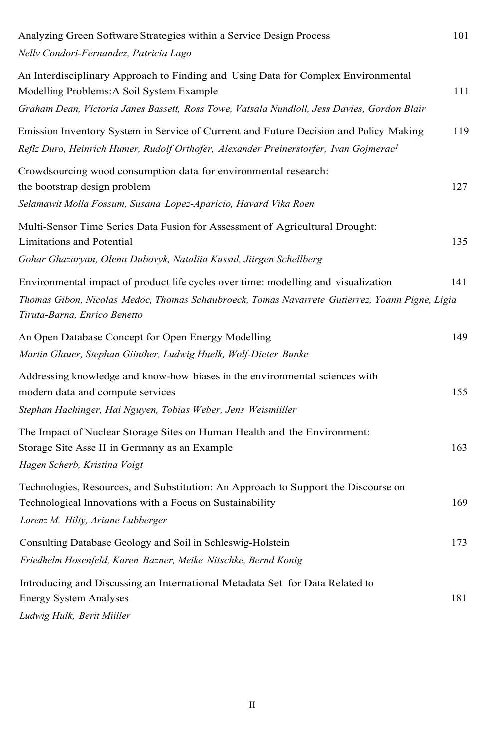| Analyzing Green Software Strategies within a Service Design Process<br>Nelly Condori-Fernandez, Patricia Lago                                                                                                                 | 101 |
|-------------------------------------------------------------------------------------------------------------------------------------------------------------------------------------------------------------------------------|-----|
| An Interdisciplinary Approach to Finding and Using Data for Complex Environmental<br>Modelling Problems: A Soil System Example<br>Graham Dean, Victoria Janes Bassett, Ross Towe, Vatsala Nundloll, Jess Davies, Gordon Blair | 111 |
| Emission Inventory System in Service of Current and Future Decision and Policy Making<br>Reflz Duro, Heinrich Humer, Rudolf Orthofer, Alexander Preinerstorfer, Ivan Gojmerac <sup>1</sup>                                    | 119 |
| Crowdsourcing wood consumption data for environmental research:<br>the bootstrap design problem<br>Selamawit Molla Fossum, Susana Lopez-Aparicio, Havard Vika Roen                                                            | 127 |
| Multi-Sensor Time Series Data Fusion for Assessment of Agricultural Drought:<br>Limitations and Potential<br>Gohar Ghazaryan, Olena Dubovyk, Nataliia Kussul, Jiirgen Schellberg                                              | 135 |
| Environmental impact of product life cycles over time: modelling and visualization<br>Thomas Gibon, Nicolas Medoc, Thomas Schaubroeck, Tomas Navarrete Gutierrez, Yoann Pigne, Ligia<br>Tiruta-Barna, Enrico Benetto          | 141 |
| An Open Database Concept for Open Energy Modelling<br>Martin Glauer, Stephan Giinther, Ludwig Huelk, Wolf-Dieter Bunke                                                                                                        | 149 |
| Addressing knowledge and know-how biases in the environmental sciences with<br>modern data and compute services<br>Stephan Hachinger, Hai Nguyen, Tobias Weber, Jens Weismiiller                                              | 155 |
| The Impact of Nuclear Storage Sites on Human Health and the Environment:<br>Storage Site Asse II in Germany as an Example<br>Hagen Scherb, Kristina Voigt                                                                     | 163 |
| Technologies, Resources, and Substitution: An Approach to Support the Discourse on<br>Technological Innovations with a Focus on Sustainability<br>Lorenz M. Hilty, Ariane Lubberger                                           | 169 |
| Consulting Database Geology and Soil in Schleswig-Holstein<br>Friedhelm Hosenfeld, Karen Bazner, Meike Nitschke, Bernd Konig                                                                                                  | 173 |
| Introducing and Discussing an International Metadata Set for Data Related to<br><b>Energy System Analyses</b><br>Ludwig Hulk, Berit Miiller                                                                                   | 181 |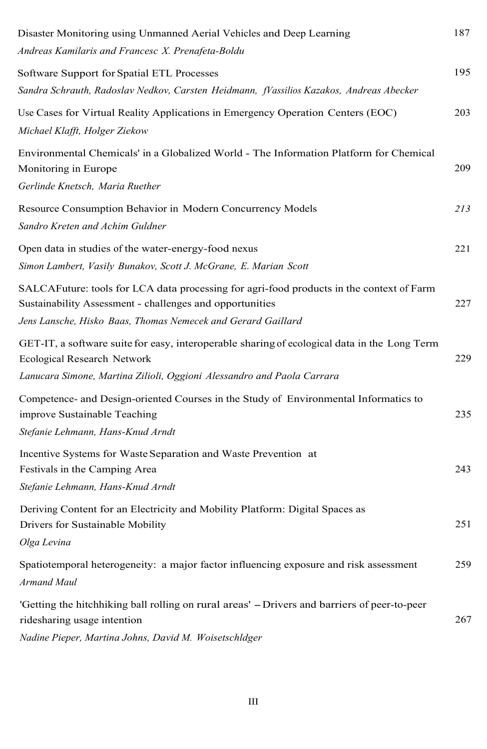| Disaster Monitoring using Unmanned Aerial Vehicles and Deep Learning<br>Andreas Kamilaris and Francesc X. Prenafeta-Boldu                                                                                            | 187 |
|----------------------------------------------------------------------------------------------------------------------------------------------------------------------------------------------------------------------|-----|
| Software Support for Spatial ETL Processes<br>Sandra Schrauth, Radoslav Nedkov, Carsten Heidmann, fVassilios Kazakos, Andreas Abecker                                                                                | 195 |
| Use Cases for Virtual Reality Applications in Emergency Operation Centers (EOC)<br>Michael Klafft, Holger Ziekow                                                                                                     | 203 |
| Environmental Chemicals' in a Globalized World - The Information Platform for Chemical<br>Monitoring in Europe<br>Gerlinde Knetsch, Maria Ruether                                                                    | 209 |
| Resource Consumption Behavior in Modern Concurrency Models<br>Sandro Kreten and Achim Guldner                                                                                                                        | 213 |
| Open data in studies of the water-energy-food nexus<br>Simon Lambert, Vasily Bunakov, Scott J. McGrane, E. Marian Scott                                                                                              | 221 |
| SALCAFuture: tools for LCA data processing for agri-food products in the context of Farm<br>Sustainability Assessment - challenges and opportunities<br>Jens Lansche, Hisko Baas, Thomas Nemecek and Gerard Gaillard | 227 |
| GET-IT, a software suite for easy, interoperable sharing of ecological data in the Long Term<br>Ecological Research Network<br>Lanucara Simone, Martina Zilioli, Oggioni Alessandro and Paola Carrara                | 229 |
| Competence- and Design-oriented Courses in the Study of Environmental Informatics to<br>improve Sustainable Teaching<br>Stefanie Lehmann, Hans-Knud Arndt                                                            | 235 |
| Incentive Systems for Waste Separation and Waste Prevention at<br>Festivals in the Camping Area<br>Stefanie Lehmann, Hans-Knud Arndt                                                                                 | 243 |
| Deriving Content for an Electricity and Mobility Platform: Digital Spaces as<br>Drivers for Sustainable Mobility<br>Olga Levina                                                                                      | 251 |
| Spatiotemporal heterogeneity: a major factor influencing exposure and risk assessment<br>Armand Maul                                                                                                                 | 259 |
| 'Getting the hitchhiking ball rolling on rural areas' – Drivers and barriers of peer-to-peer<br>ridesharing usage intention<br>Nadine Pieper, Martina Johns, David M. Woisetschldger                                 | 267 |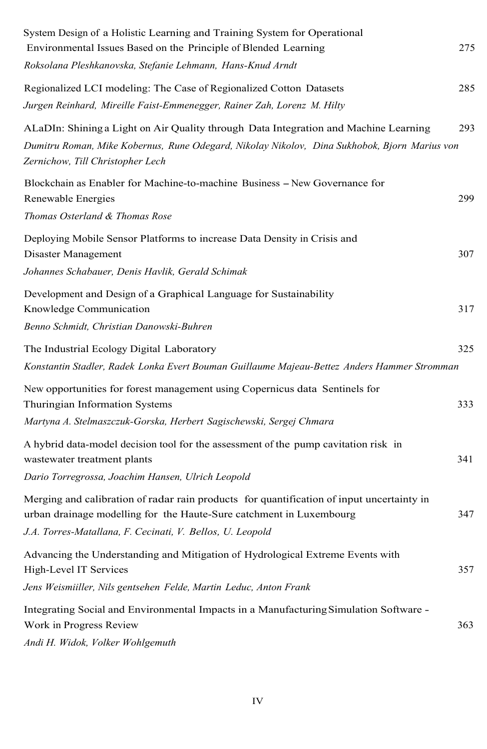| System Design of a Holistic Learning and Training System for Operational<br>Environmental Issues Based on the Principle of Blended Learning                      | 275 |
|------------------------------------------------------------------------------------------------------------------------------------------------------------------|-----|
| Roksolana Pleshkanovska, Stefanie Lehmann, Hans-Knud Arndt                                                                                                       |     |
| Regionalized LCI modeling: The Case of Regionalized Cotton Datasets                                                                                              | 285 |
| Jurgen Reinhard, Mireille Faist-Emmenegger, Rainer Zah, Lorenz M. Hilty                                                                                          |     |
| ALaDIn: Shining a Light on Air Quality through Data Integration and Machine Learning                                                                             | 293 |
| Dumitru Roman, Mike Kobernus, Rune Odegard, Nikolay Nikolov, Dina Sukhobok, Bjorn Marius von<br>Zernichow, Till Christopher Lech                                 |     |
| Blockchain as Enabler for Machine-to-machine Business – New Governance for<br>Renewable Energies                                                                 | 299 |
| Thomas Osterland & Thomas Rose                                                                                                                                   |     |
| Deploying Mobile Sensor Platforms to increase Data Density in Crisis and<br>Disaster Management                                                                  | 307 |
| Johannes Schabauer, Denis Havlik, Gerald Schimak                                                                                                                 |     |
| Development and Design of a Graphical Language for Sustainability<br>Knowledge Communication                                                                     | 317 |
| Benno Schmidt, Christian Danowski-Buhren                                                                                                                         |     |
| The Industrial Ecology Digital Laboratory                                                                                                                        | 325 |
| Konstantin Stadler, Radek Lonka Evert Bouman Guillaume Majeau-Bettez Anders Hammer Stromman                                                                      |     |
| New opportunities for forest management using Copernicus data Sentinels for<br>Thuringian Information Systems                                                    | 333 |
| Martyna A. Stelmaszczuk-Gorska, Herbert Sagischewski, Sergej Chmara                                                                                              |     |
| A hybrid data-model decision tool for the assessment of the pump cavitation risk in<br>wastewater treatment plants                                               | 341 |
| Dario Torregrossa, Joachim Hansen, Ulrich Leopold                                                                                                                |     |
| Merging and calibration of radar rain products for quantification of input uncertainty in<br>urban drainage modelling for the Haute-Sure catchment in Luxembourg | 347 |
| J.A. Torres-Matallana, F. Cecinati, V. Bellos, U. Leopold                                                                                                        |     |
| Advancing the Understanding and Mitigation of Hydrological Extreme Events with<br>High-Level IT Services                                                         | 357 |
| Jens Weismiiller, Nils gentsehen Felde, Martin Leduc, Anton Frank                                                                                                |     |
| Integrating Social and Environmental Impacts in a Manufacturing Simulation Software -<br>Work in Progress Review<br>Andi H. Widok, Volker Wohlgemuth             | 363 |
|                                                                                                                                                                  |     |